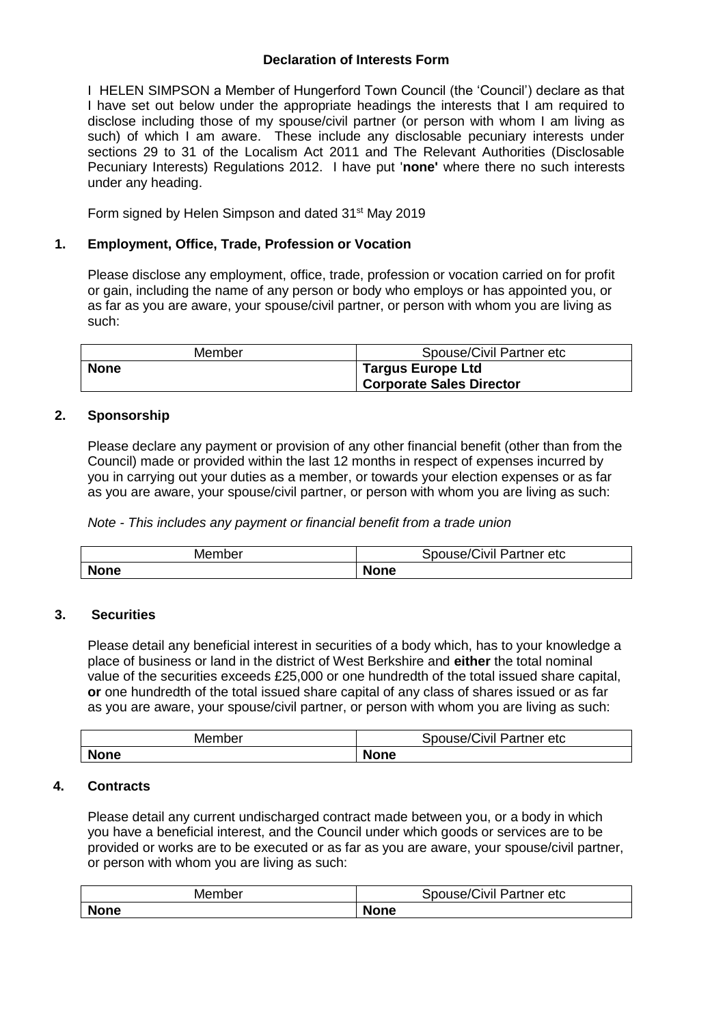## **Declaration of Interests Form**

I HELEN SIMPSON a Member of Hungerford Town Council (the 'Council') declare as that I have set out below under the appropriate headings the interests that I am required to disclose including those of my spouse/civil partner (or person with whom I am living as such) of which I am aware. These include any disclosable pecuniary interests under sections 29 to 31 of the Localism Act 2011 and The Relevant Authorities (Disclosable Pecuniary Interests) Regulations 2012. I have put '**none'** where there no such interests under any heading.

Form signed by Helen Simpson and dated 31<sup>st</sup> May 2019

# **1. Employment, Office, Trade, Profession or Vocation**

Please disclose any employment, office, trade, profession or vocation carried on for profit or gain, including the name of any person or body who employs or has appointed you, or as far as you are aware, your spouse/civil partner, or person with whom you are living as such:

| Member      | Spouse/Civil Partner etc                                    |
|-------------|-------------------------------------------------------------|
| <b>None</b> | <b>Targus Europe Ltd</b><br><b>Corporate Sales Director</b> |
|             |                                                             |

# **2. Sponsorship**

Please declare any payment or provision of any other financial benefit (other than from the Council) made or provided within the last 12 months in respect of expenses incurred by you in carrying out your duties as a member, or towards your election expenses or as far as you are aware, your spouse/civil partner, or person with whom you are living as such:

*Note - This includes any payment or financial benefit from a trade union*

| Member      | 'Civil Partner etc<br>spouse/( |
|-------------|--------------------------------|
| <b>None</b> | <b>None</b>                    |

## **3. Securities**

Please detail any beneficial interest in securities of a body which, has to your knowledge a place of business or land in the district of West Berkshire and **either** the total nominal value of the securities exceeds £25,000 or one hundredth of the total issued share capital, **or** one hundredth of the total issued share capital of any class of shares issued or as far as you are aware, your spouse/civil partner, or person with whom you are living as such:

| Member      | $\sim$<br>.<br>-<br>spouse/(<br>Partner etc<br>ЛVІ |
|-------------|----------------------------------------------------|
| <b>None</b> | <b>None</b>                                        |

## **4. Contracts**

Please detail any current undischarged contract made between you, or a body in which you have a beneficial interest, and the Council under which goods or services are to be provided or works are to be executed or as far as you are aware, your spouse/civil partner, or person with whom you are living as such:

| Member      | Spouse/Civil Partner etc |
|-------------|--------------------------|
| <b>None</b> | <b>None</b>              |